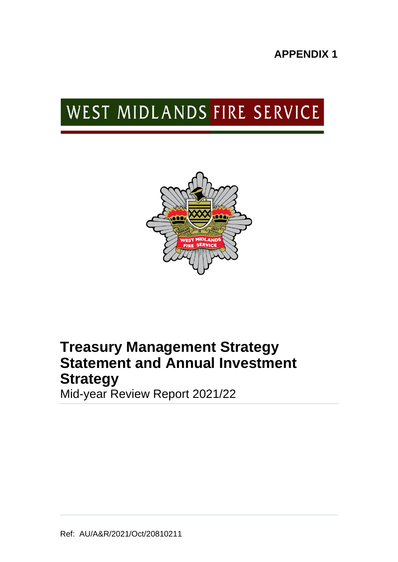**APPENDIX 1**

# WEST MIDLANDS FIRE SERVICE



## **Treasury Management Strategy Statement and Annual Investment Strategy**

Mid-year Review Report 2021/22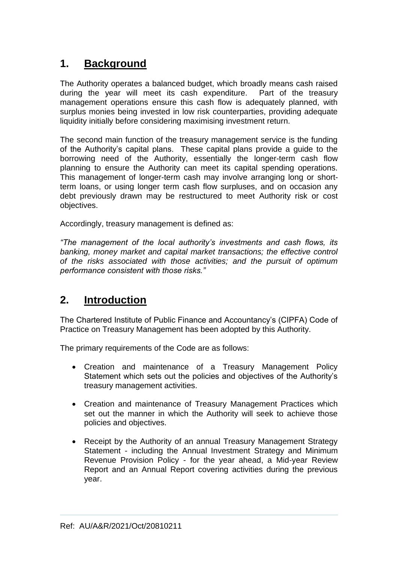## **1. Background**

The Authority operates a balanced budget, which broadly means cash raised during the year will meet its cash expenditure. Part of the treasury management operations ensure this cash flow is adequately planned, with surplus monies being invested in low risk counterparties, providing adequate liquidity initially before considering maximising investment return.

The second main function of the treasury management service is the funding of the Authority's capital plans. These capital plans provide a guide to the borrowing need of the Authority, essentially the longer-term cash flow planning to ensure the Authority can meet its capital spending operations. This management of longer-term cash may involve arranging long or shortterm loans, or using longer term cash flow surpluses, and on occasion any debt previously drawn may be restructured to meet Authority risk or cost objectives.

Accordingly, treasury management is defined as:

*"The management of the local authority's investments and cash flows, its banking, money market and capital market transactions; the effective control of the risks associated with those activities; and the pursuit of optimum performance consistent with those risks."*

## **2. Introduction**

The Chartered Institute of Public Finance and Accountancy's (CIPFA) Code of Practice on Treasury Management has been adopted by this Authority.

The primary requirements of the Code are as follows:

- Creation and maintenance of a Treasury Management Policy Statement which sets out the policies and objectives of the Authority's treasury management activities.
- Creation and maintenance of Treasury Management Practices which set out the manner in which the Authority will seek to achieve those policies and objectives.
- Receipt by the Authority of an annual Treasury Management Strategy Statement - including the Annual Investment Strategy and Minimum Revenue Provision Policy - for the year ahead, a Mid-year Review Report and an Annual Report covering activities during the previous year.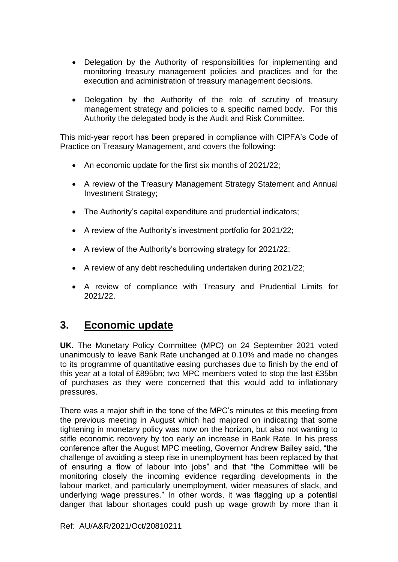- Delegation by the Authority of responsibilities for implementing and monitoring treasury management policies and practices and for the execution and administration of treasury management decisions.
- Delegation by the Authority of the role of scrutiny of treasury management strategy and policies to a specific named body. For this Authority the delegated body is the Audit and Risk Committee.

This mid-year report has been prepared in compliance with CIPFA's Code of Practice on Treasury Management, and covers the following:

- An economic update for the first six months of 2021/22;
- A review of the Treasury Management Strategy Statement and Annual Investment Strategy;
- The Authority's capital expenditure and prudential indicators;
- A review of the Authority's investment portfolio for 2021/22;
- A review of the Authority's borrowing strategy for 2021/22;
- A review of any debt rescheduling undertaken during 2021/22;
- A review of compliance with Treasury and Prudential Limits for 2021/22.

## **3. Economic update**

**UK.** The Monetary Policy Committee (MPC) on 24 September 2021 voted unanimously to leave Bank Rate unchanged at 0.10% and made no changes to its programme of quantitative easing purchases due to finish by the end of this year at a total of £895bn; two MPC members voted to stop the last £35bn of purchases as they were concerned that this would add to inflationary pressures.

There was a major shift in the tone of the MPC's minutes at this meeting from the previous meeting in August which had majored on indicating that some tightening in monetary policy was now on the horizon, but also not wanting to stifle economic recovery by too early an increase in Bank Rate. In his press conference after the August MPC meeting, Governor Andrew Bailey said, "the challenge of avoiding a steep rise in unemployment has been replaced by that of ensuring a flow of labour into jobs" and that "the Committee will be monitoring closely the incoming evidence regarding developments in the labour market, and particularly unemployment, wider measures of slack, and underlying wage pressures." In other words, it was flagging up a potential danger that labour shortages could push up wage growth by more than it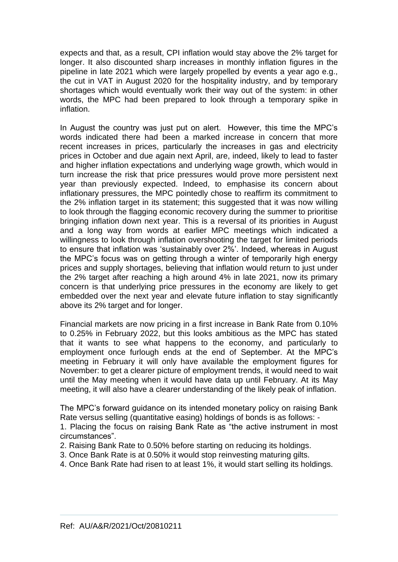expects and that, as a result, CPI inflation would stay above the 2% target for longer. It also discounted sharp increases in monthly inflation figures in the pipeline in late 2021 which were largely propelled by events a year ago e.g., the cut in VAT in August 2020 for the hospitality industry, and by temporary shortages which would eventually work their way out of the system: in other words, the MPC had been prepared to look through a temporary spike in inflation.

In August the country was just put on alert. However, this time the MPC's words indicated there had been a marked increase in concern that more recent increases in prices, particularly the increases in gas and electricity prices in October and due again next April, are, indeed, likely to lead to faster and higher inflation expectations and underlying wage growth, which would in turn increase the risk that price pressures would prove more persistent next year than previously expected. Indeed, to emphasise its concern about inflationary pressures, the MPC pointedly chose to reaffirm its commitment to the 2% inflation target in its statement; this suggested that it was now willing to look through the flagging economic recovery during the summer to prioritise bringing inflation down next year. This is a reversal of its priorities in August and a long way from words at earlier MPC meetings which indicated a willingness to look through inflation overshooting the target for limited periods to ensure that inflation was 'sustainably over 2%'. Indeed, whereas in August the MPC's focus was on getting through a winter of temporarily high energy prices and supply shortages, believing that inflation would return to just under the 2% target after reaching a high around 4% in late 2021, now its primary concern is that underlying price pressures in the economy are likely to get embedded over the next year and elevate future inflation to stay significantly above its 2% target and for longer.

Financial markets are now pricing in a first increase in Bank Rate from 0.10% to 0.25% in February 2022, but this looks ambitious as the MPC has stated that it wants to see what happens to the economy, and particularly to employment once furlough ends at the end of September. At the MPC's meeting in February it will only have available the employment figures for November: to get a clearer picture of employment trends, it would need to wait until the May meeting when it would have data up until February. At its May meeting, it will also have a clearer understanding of the likely peak of inflation.

The MPC's forward guidance on its intended monetary policy on raising Bank Rate versus selling (quantitative easing) holdings of bonds is as follows: -

1. Placing the focus on raising Bank Rate as "the active instrument in most circumstances".

- 2. Raising Bank Rate to 0.50% before starting on reducing its holdings.
- 3. Once Bank Rate is at 0.50% it would stop reinvesting maturing gilts.
- 4. Once Bank Rate had risen to at least 1%, it would start selling its holdings.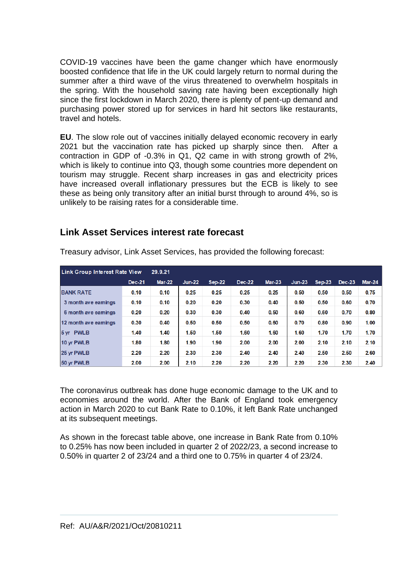COVID-19 vaccines have been the game changer which have enormously boosted confidence that life in the UK could largely return to normal during the summer after a third wave of the virus threatened to overwhelm hospitals in the spring. With the household saving rate having been exceptionally high since the first lockdown in March 2020, there is plenty of pent-up demand and purchasing power stored up for services in hard hit sectors like restaurants, travel and hotels.

**EU**. The slow role out of vaccines initially delayed economic recovery in early 2021 but the vaccination rate has picked up sharply since then. After a contraction in GDP of -0.3% in Q1, Q2 came in with strong growth of 2%, which is likely to continue into Q3, though some countries more dependent on tourism may struggle. Recent sharp increases in gas and electricity prices have increased overall inflationary pressures but the ECB is likely to see these as being only transitory after an initial burst through to around 4%, so is unlikely to be raising rates for a considerable time.

#### **Link Asset Services interest rate forecast**

| <b>Link Group Interest Rate View</b><br>29.9.21 |               |               |          |          |               |          |          |          |          |        |
|-------------------------------------------------|---------------|---------------|----------|----------|---------------|----------|----------|----------|----------|--------|
|                                                 | <b>Dec-21</b> | <b>Mar-22</b> | $Jun-22$ | $Sep-22$ | <b>Dec-22</b> | $Mar-23$ | $Jun-23$ | $Sep-23$ | $Dec-23$ | Mar-24 |
| <b>BANK RATE</b>                                | 0.10          | 0.10          | 0.25     | 0.25     | 0.25          | 0.25     | 0.50     | 0.50     | 0.50     | 0.75   |
| 3 month ave earnings                            | 0.10          | 0.10          | 0.20     | 0.20     | 0.30          | 0.40     | 0.50     | 0.50     | 0.60     | 0.70   |
| 6 month ave earnings                            | 0.20          | 0.20          | 0.30     | 0.30     | 0.40          | 0.50     | 0.60     | 0.60     | 0.70     | 0.80   |
| 12 month ave earnings                           | 0.30          | 0.40          | 0.50     | 0.50     | 0.50          | 0.60     | 0.70     | 0.80     | 0.90     | 1.00   |
| 5 yr PWLB                                       | 1.40          | 1.40          | 1.50     | 1.50     | 1.60          | 1.60     | 1.60     | 1.70     | 1.70     | 1.70   |
| 10 yr PWLB                                      | 1.80          | 1.80          | 1.90     | 1.90     | 2.00          | 2.00     | 2.00     | 2.10     | 2.10     | 2.10   |
| 25 yr PWLB                                      | 2.20          | 2.20          | 2.30     | 2.30     | 2.40          | 2.40     | 2.40     | 2.50     | 2.50     | 2.60   |
| 50 yr PWLB                                      | 2.00          | 2.00          | 2.10     | 2.20     | 2.20          | 2.20     | 2.20     | 2.30     | 2.30     | 2.40   |

Treasury advisor, Link Asset Services, has provided the following forecast:

The coronavirus outbreak has done huge economic damage to the UK and to economies around the world. After the Bank of England took emergency action in March 2020 to cut Bank Rate to 0.10%, it left Bank Rate unchanged at its subsequent meetings.

As shown in the forecast table above, one increase in Bank Rate from 0.10% to 0.25% has now been included in quarter 2 of 2022/23, a second increase to 0.50% in quarter 2 of 23/24 and a third one to 0.75% in quarter 4 of 23/24.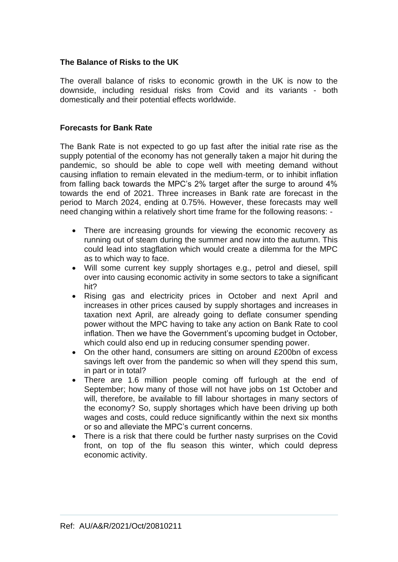#### **The Balance of Risks to the UK**

The overall balance of risks to economic growth in the UK is now to the downside, including residual risks from Covid and its variants - both domestically and their potential effects worldwide.

#### **Forecasts for Bank Rate**

The Bank Rate is not expected to go up fast after the initial rate rise as the supply potential of the economy has not generally taken a major hit during the pandemic, so should be able to cope well with meeting demand without causing inflation to remain elevated in the medium-term, or to inhibit inflation from falling back towards the MPC's 2% target after the surge to around 4% towards the end of 2021. Three increases in Bank rate are forecast in the period to March 2024, ending at 0.75%. However, these forecasts may well need changing within a relatively short time frame for the following reasons: -

- There are increasing grounds for viewing the economic recovery as running out of steam during the summer and now into the autumn. This could lead into stagflation which would create a dilemma for the MPC as to which way to face.
- Will some current key supply shortages e.g., petrol and diesel, spill over into causing economic activity in some sectors to take a significant hit?
- Rising gas and electricity prices in October and next April and increases in other prices caused by supply shortages and increases in taxation next April, are already going to deflate consumer spending power without the MPC having to take any action on Bank Rate to cool inflation. Then we have the Government's upcoming budget in October, which could also end up in reducing consumer spending power.
- On the other hand, consumers are sitting on around £200bn of excess savings left over from the pandemic so when will they spend this sum, in part or in total?
- There are 1.6 million people coming off furlough at the end of September; how many of those will not have jobs on 1st October and will, therefore, be available to fill labour shortages in many sectors of the economy? So, supply shortages which have been driving up both wages and costs, could reduce significantly within the next six months or so and alleviate the MPC's current concerns.
- There is a risk that there could be further nasty surprises on the Covid front, on top of the flu season this winter, which could depress economic activity.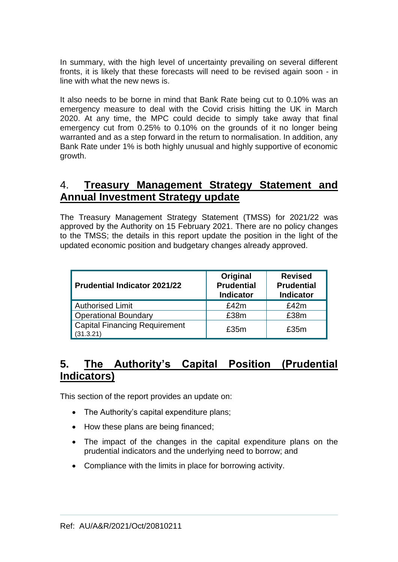In summary, with the high level of uncertainty prevailing on several different fronts, it is likely that these forecasts will need to be revised again soon - in line with what the new news is.

It also needs to be borne in mind that Bank Rate being cut to 0.10% was an emergency measure to deal with the Covid crisis hitting the UK in March 2020. At any time, the MPC could decide to simply take away that final emergency cut from 0.25% to 0.10% on the grounds of it no longer being warranted and as a step forward in the return to normalisation. In addition, any Bank Rate under 1% is both highly unusual and highly supportive of economic growth.

### 4. **Treasury Management Strategy Statement and Annual Investment Strategy update**

The Treasury Management Strategy Statement (TMSS) for 2021/22 was approved by the Authority on 15 February 2021. There are no policy changes to the TMSS; the details in this report update the position in the light of the updated economic position and budgetary changes already approved.

| <b>Prudential Indicator 2021/22</b>        | Original<br><b>Prudential</b><br><b>Indicator</b> | <b>Revised</b><br><b>Prudential</b><br><b>Indicator</b> |  |
|--------------------------------------------|---------------------------------------------------|---------------------------------------------------------|--|
| <b>Authorised Limit</b>                    | £42m                                              | £42m                                                    |  |
| Operational Boundary                       | £38m                                              | £38m                                                    |  |
| Capital Financing Requirement<br>(31.3.21) | £35m                                              | £35m                                                    |  |

## **5. The Authority's Capital Position (Prudential Indicators)**

This section of the report provides an update on:

- The Authority's capital expenditure plans;
- How these plans are being financed;
- The impact of the changes in the capital expenditure plans on the prudential indicators and the underlying need to borrow; and
- Compliance with the limits in place for borrowing activity.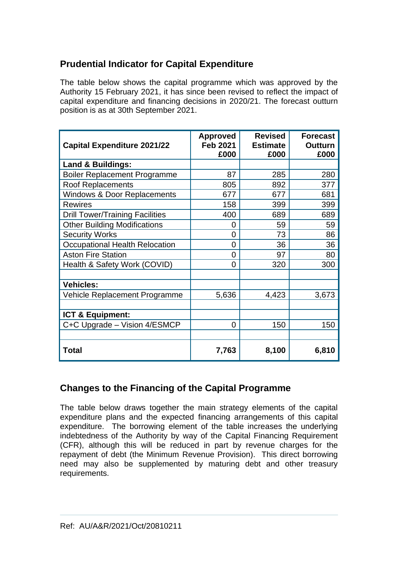## **Prudential Indicator for Capital Expenditure**

The table below shows the capital programme which was approved by the Authority 15 February 2021, it has since been revised to reflect the impact of capital expenditure and financing decisions in 2020/21. The forecast outturn position is as at 30th September 2021.

| <b>Capital Expenditure 2021/22</b>     | <b>Approved</b><br><b>Feb 2021</b><br>£000 | <b>Revised</b><br><b>Estimate</b><br>£000 | <b>Forecast</b><br><b>Outturn</b><br>£000 |
|----------------------------------------|--------------------------------------------|-------------------------------------------|-------------------------------------------|
| <b>Land &amp; Buildings:</b>           |                                            |                                           |                                           |
| <b>Boiler Replacement Programme</b>    | 87                                         | 285                                       | 280                                       |
| <b>Roof Replacements</b>               | 805                                        | 892                                       | 377                                       |
| <b>Windows &amp; Door Replacements</b> | 677                                        | 677                                       | 681                                       |
| <b>Rewires</b>                         | 158                                        | 399                                       | 399                                       |
| <b>Drill Tower/Training Facilities</b> | 400                                        | 689                                       | 689                                       |
| <b>Other Building Modifications</b>    | 0                                          | 59                                        | 59                                        |
| <b>Security Works</b>                  | 0                                          | 73                                        | 86                                        |
| <b>Occupational Health Relocation</b>  | 0                                          | 36                                        | 36                                        |
| <b>Aston Fire Station</b>              | 0                                          | 97                                        | 80                                        |
| Health & Safety Work (COVID)           | 0                                          | 320                                       | 300                                       |
|                                        |                                            |                                           |                                           |
| <b>Vehicles:</b>                       |                                            |                                           |                                           |
| Vehicle Replacement Programme          | 5,636                                      | 4,423                                     | 3,673                                     |
|                                        |                                            |                                           |                                           |
| <b>ICT &amp; Equipment:</b>            |                                            |                                           |                                           |
| C+C Upgrade - Vision 4/ESMCP           | 0                                          | 150                                       | 150                                       |
|                                        |                                            |                                           |                                           |
| <b>Total</b>                           | 7,763                                      | 8,100                                     | 6,810                                     |

## **Changes to the Financing of the Capital Programme**

The table below draws together the main strategy elements of the capital expenditure plans and the expected financing arrangements of this capital expenditure. The borrowing element of the table increases the underlying indebtedness of the Authority by way of the Capital Financing Requirement (CFR), although this will be reduced in part by revenue charges for the repayment of debt (the Minimum Revenue Provision). This direct borrowing need may also be supplemented by maturing debt and other treasury requirements.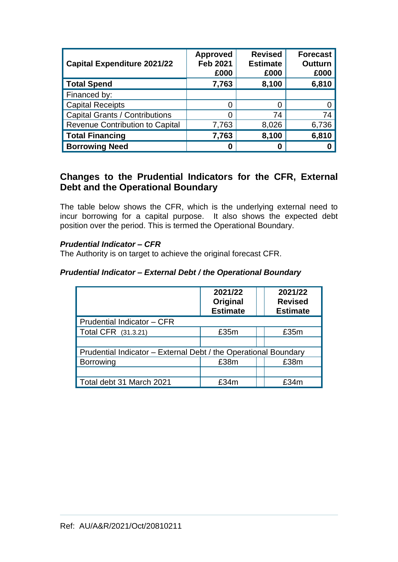| <b>Capital Expenditure 2021/22</b>     | <b>Approved</b><br><b>Feb 2021</b><br>£000 | <b>Revised</b><br><b>Estimate</b><br>£000 | <b>Forecast</b><br><b>Outturn</b><br>£000 |
|----------------------------------------|--------------------------------------------|-------------------------------------------|-------------------------------------------|
| <b>Total Spend</b>                     | 7,763                                      | 8,100                                     | 6,810                                     |
| Financed by:                           |                                            |                                           |                                           |
| <b>Capital Receipts</b>                |                                            |                                           |                                           |
| <b>Capital Grants / Contributions</b>  |                                            | 74                                        | 74                                        |
| <b>Revenue Contribution to Capital</b> | 7,763                                      | 8,026                                     | 6,736                                     |
| <b>Total Financing</b>                 | 7,763                                      | 8,100                                     | 6,810                                     |
| <b>Borrowing Need</b>                  | O                                          |                                           |                                           |

#### **Changes to the Prudential Indicators for the CFR, External Debt and the Operational Boundary**

The table below shows the CFR, which is the underlying external need to incur borrowing for a capital purpose. It also shows the expected debt position over the period. This is termed the Operational Boundary.

#### *Prudential Indicator – CFR*

The Authority is on target to achieve the original forecast CFR.

#### *Prudential Indicator – External Debt / the Operational Boundary*

|                                                                 | 2021/22<br>Original<br><b>Estimate</b> | 2021/22<br><b>Revised</b><br><b>Estimate</b> |  |  |  |
|-----------------------------------------------------------------|----------------------------------------|----------------------------------------------|--|--|--|
| Prudential Indicator - CFR                                      |                                        |                                              |  |  |  |
| Total CFR (31.3.21)                                             | £35m                                   | £35m                                         |  |  |  |
|                                                                 |                                        |                                              |  |  |  |
| Prudential Indicator - External Debt / the Operational Boundary |                                        |                                              |  |  |  |
| <b>Borrowing</b>                                                | £38m                                   | £38m                                         |  |  |  |
|                                                                 |                                        |                                              |  |  |  |
| Total debt 31 March 2021                                        | £34m                                   | £34m                                         |  |  |  |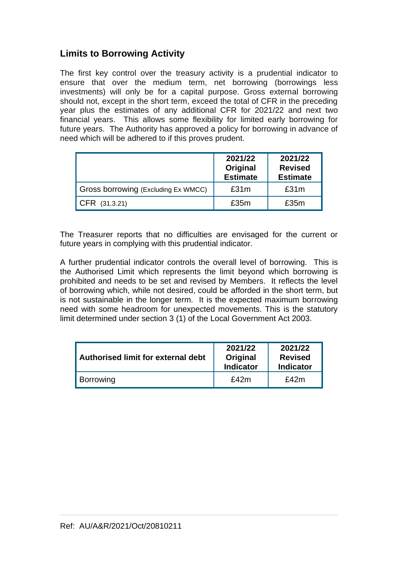### **Limits to Borrowing Activity**

The first key control over the treasury activity is a prudential indicator to ensure that over the medium term, net borrowing (borrowings less investments) will only be for a capital purpose. Gross external borrowing should not, except in the short term, exceed the total of CFR in the preceding year plus the estimates of any additional CFR for 2021/22 and next two financial years. This allows some flexibility for limited early borrowing for future years. The Authority has approved a policy for borrowing in advance of need which will be adhered to if this proves prudent.

|                                     | 2021/22<br>Original<br><b>Estimate</b> | 2021/22<br><b>Revised</b><br><b>Estimate</b> |
|-------------------------------------|----------------------------------------|----------------------------------------------|
| Gross borrowing (Excluding Ex WMCC) | £31m                                   | £31m                                         |
| $CFR$ (31.3.21)                     | £35m                                   | £35m                                         |

The Treasurer reports that no difficulties are envisaged for the current or future years in complying with this prudential indicator.

A further prudential indicator controls the overall level of borrowing. This is the Authorised Limit which represents the limit beyond which borrowing is prohibited and needs to be set and revised by Members. It reflects the level of borrowing which, while not desired, could be afforded in the short term, but is not sustainable in the longer term. It is the expected maximum borrowing need with some headroom for unexpected movements. This is the statutory limit determined under section 3 (1) of the Local Government Act 2003.

| Authorised limit for external debt | 2021/22<br>Original<br><b>Indicator</b> | 2021/22<br><b>Revised</b><br><b>Indicator</b> |  |
|------------------------------------|-----------------------------------------|-----------------------------------------------|--|
| <b>Borrowing</b>                   | £42m                                    | £42m                                          |  |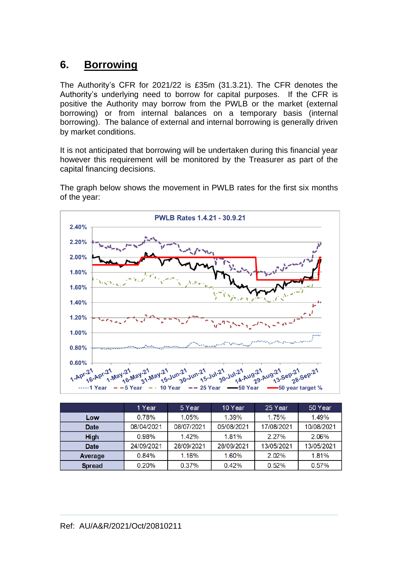## **6. Borrowing**

The Authority's CFR for 2021/22 is £35m (31.3.21). The CFR denotes the Authority's underlying need to borrow for capital purposes. If the CFR is positive the Authority may borrow from the PWLB or the market (external borrowing) or from internal balances on a temporary basis (internal borrowing). The balance of external and internal borrowing is generally driven by market conditions.

It is not anticipated that borrowing will be undertaken during this financial year however this requirement will be monitored by the Treasurer as part of the capital financing decisions.

The graph below shows the movement in PWLB rates for the first six months of the year:



|                | 1 Year     | 5 Year     | 10 Year    | 25 Year    | 50 Year    |
|----------------|------------|------------|------------|------------|------------|
| Low            | 0.78%      | 1.05%      | 1.39%      | 1.75%      | 1.49%      |
| <b>Date</b>    | 08/04/2021 | 08/07/2021 | 05/08/2021 | 17/08/2021 | 10/08/2021 |
| <b>High</b>    | 0.98%      | 1.42%      | 1.81%      | 2.27%      | 2.06%      |
| <b>Date</b>    | 24/09/2021 | 28/09/2021 | 28/09/2021 | 13/05/2021 | 13/05/2021 |
| <b>Average</b> | 0.84%      | 1.16%      | 1.60%      | 2.02%      | 1.81%      |
| <b>Spread</b>  | 0.20%      | 0.37%      | 0.42%      | 0.52%      | 0.57%      |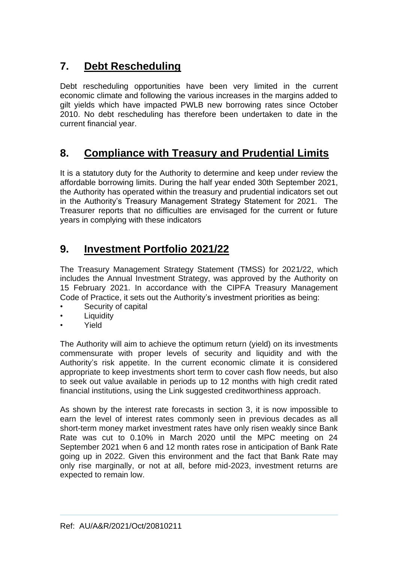## **7. Debt Rescheduling**

Debt rescheduling opportunities have been very limited in the current economic climate and following the various increases in the margins added to gilt yields which have impacted PWLB new borrowing rates since October 2010. No debt rescheduling has therefore been undertaken to date in the current financial year.

## **8. Compliance with Treasury and Prudential Limits**

It is a statutory duty for the Authority to determine and keep under review the affordable borrowing limits. During the half year ended 30th September 2021, the Authority has operated within the treasury and prudential indicators set out in the Authority's Treasury Management Strategy Statement for 2021. The Treasurer reports that no difficulties are envisaged for the current or future years in complying with these indicators

## **9. Investment Portfolio 2021/22**

The Treasury Management Strategy Statement (TMSS) for 2021/22, which includes the Annual Investment Strategy, was approved by the Authority on 15 February 2021. In accordance with the CIPFA Treasury Management Code of Practice, it sets out the Authority's investment priorities as being:

- Security of capital
- **Liquidity**
- Yield

The Authority will aim to achieve the optimum return (yield) on its investments commensurate with proper levels of security and liquidity and with the Authority's risk appetite. In the current economic climate it is considered appropriate to keep investments short term to cover cash flow needs, but also to seek out value available in periods up to 12 months with high credit rated financial institutions, using the Link suggested creditworthiness approach.

As shown by the interest rate forecasts in section 3, it is now impossible to earn the level of interest rates commonly seen in previous decades as all short-term money market investment rates have only risen weakly since Bank Rate was cut to 0.10% in March 2020 until the MPC meeting on 24 September 2021 when 6 and 12 month rates rose in anticipation of Bank Rate going up in 2022. Given this environment and the fact that Bank Rate may only rise marginally, or not at all, before mid-2023, investment returns are expected to remain low.